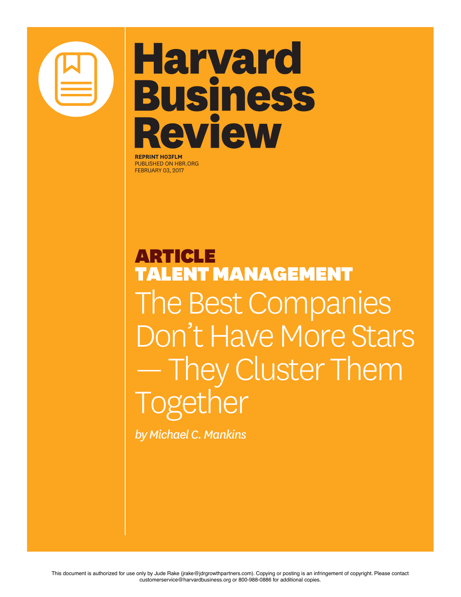

## **Harvard Business** Review

**REPRINT H03FLM** PUBLISHED ON HBR.ORG FEBRUARY 03, 2017

ARTICLE TALENT MANAGEMENT The Best Companies Don't Have More Stars — They Cluster Them Together

*by Michael C. Mankins*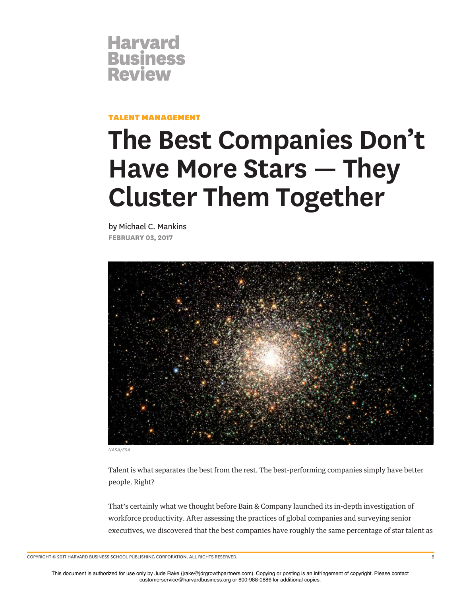

TALENT MANAGEMENT

## **The Best Companies Don't Have More Stars — They Cluster Them Together**

by Michael C. Mankins **FEBRUARY 03, 2017**



*NASA/ESA*

Talent is what separates the best from the rest. The best-performing companies simply have better people. Right?

That's certainly what we thought before Bain & Company launched its in-depth investigation of workforce productivity. After assessing the practices of global companies and surveying senior executives, we discovered that the best companies have roughly the same percentage of star talent as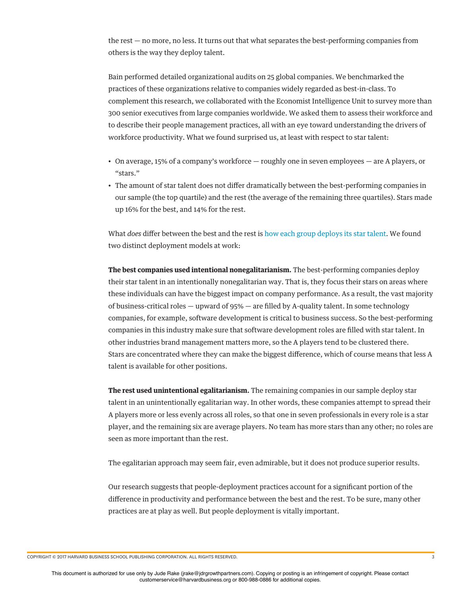the rest — no more, no less. It turns out that what separates the best-performing companies from others is the way they deploy talent.

Bain performed detailed organizational audits on 25 global companies. We benchmarked the practices of these organizations relative to companies widely regarded as best-in-class. To complement this research, we collaborated with the Economist Intelligence Unit to survey more than 300 senior executives from large companies worldwide. We asked them to assess their workforce and to describe their people management practices, all with an eye toward understanding the drivers of workforce productivity. What we found surprised us, at least with respect to star talent:

- On average, 15% of a company's workforce roughly one in seven employees are A players, or "stars."
- The amount of star talent does not difer dramatically between the best-performing companies in our sample (the top quartile) and the rest (the average of the remaining three quartiles). Stars made up 16% for the best, and 14% for the rest.

What *does* difer between the best and the rest is how each group deploys its star talent. We found two distinct deployment models at work:

**The best companies used intentional nonegalitarianism.** The best-performing companies deploy their star talent in an intentionally nonegalitarian way. That is, they focus their stars on areas where these individuals can have the biggest impact on company performance. As a result, the vast majority of business-critical roles — upward of 95% — are flled by A-quality talent. In some technology companies, for example, software development is critical to business success. So the best-performing companies in this industry make sure that software development roles are flled with star talent. In other industries brand management matters more, so the A players tend to be clustered there. Stars are concentrated where they can make the biggest diference, which of course means that less A talent is available for other positions.

**The rest used unintentional egalitarianism.** The remaining companies in our sample deploy star talent in an unintentionally egalitarian way. In other words, these companies attempt to spread their A players more or less evenly across all roles, so that one in seven professionals in every role is a star player, and the remaining six are average players. No team has more stars than any other; no roles are seen as more important than the rest.

The egalitarian approach may seem fair, even admirable, but it does not produce superior results.

Our research suggests that people-deployment practices account for a signifcant portion of the diference in productivity and performance between the best and the rest. To be sure, many other practices are at play as well. But people deployment is vitally important.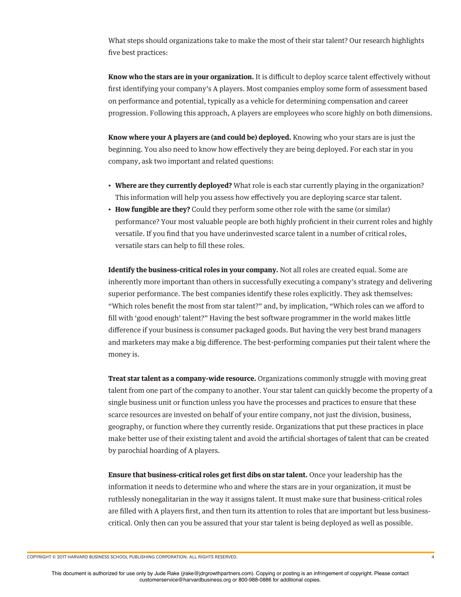What steps should organizations take to make the most of their star talent? Our research highlights five best practices:

**Know who the stars are in your organization.** It is difficult to deploy scarce talent effectively without frst identifying your company's A players. Most companies employ some form of assessment based on performance and potential, typically as a vehicle for determining compensation and career progression. Following this approach, A players are employees who score highly on both dimensions.

**Know where your A players are (and could be) deployed.** Knowing who your stars are is just the beginning. You also need to know how efectively they are being deployed. For each star in you company, ask two important and related questions:

- **Where are they currently deployed?** What role is each star currently playing in the organization? This information will help you assess how efectively you are deploying scarce star talent.
- **How fungible are they?** Could they perform some other role with the same (or similar) performance? Your most valuable people are both highly profcient in their current roles and highly versatile. If you fnd that you have underinvested scarce talent in a number of critical roles, versatile stars can help to fll these roles.

**Identify the business-critical roles in your company.** Not all roles are created equal. Some are inherently more important than others in successfully executing a company's strategy and delivering superior performance. The best companies identify these roles explicitly. They ask themselves: "Which roles beneft the most from star talent?" and, by implication, "Which roles can we aford to fll with 'good enough' talent?" Having the best software programmer in the world makes little diference if your business is consumer packaged goods. But having the very best brand managers and marketers may make a big diference. The best-performing companies put their talent where the money is.

**Treat star talent as a company-wide resource.** Organizations commonly struggle with moving great talent from one part of the company to another. Your star talent can quickly become the property of a single business unit or function unless you have the processes and practices to ensure that these scarce resources are invested on behalf of your entire company, not just the division, business, geography, or function where they currently reside. Organizations that put these practices in place make better use of their existing talent and avoid the artifcial shortages of talent that can be created by parochial hoarding of A players.

**Ensure that business-critical roles get frst dibs on star talent.** Once your leadership has the information it needs to determine who and where the stars are in your organization, it must be ruthlessly nonegalitarian in the way it assigns talent. It must make sure that business-critical roles are flled with A players frst, and then turn its attention to roles that are important but less businesscritical. Only then can you be assured that your star talent is being deployed as well as possible.